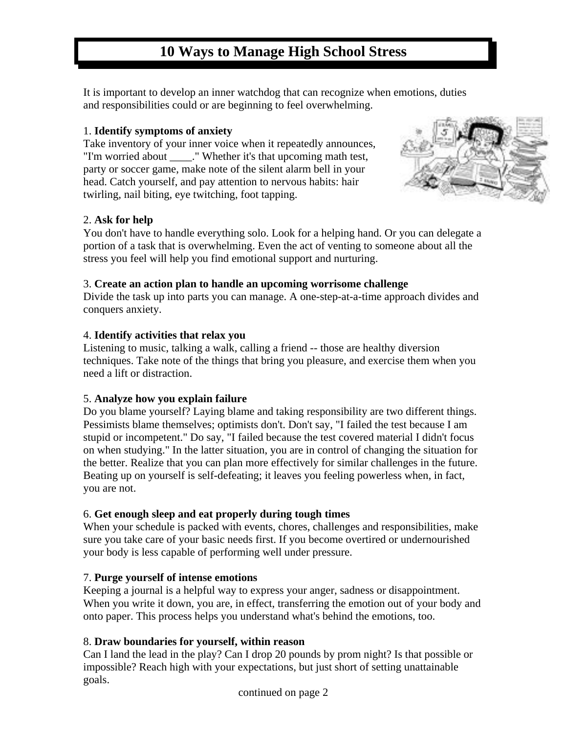# **10 Ways to Manage High School Stress**

It is important to develop an inner watchdog that can recognize when emotions, duties and responsibilities could or are beginning to feel overwhelming.

## 1. **Identify symptoms of anxiety**

Take inventory of your inner voice when it repeatedly announces, "I'm worried about \_\_\_\_." Whether it's that upcoming math test, party or soccer game, make note of the silent alarm bell in your head. Catch yourself, and pay attention to nervous habits: hair twirling, nail biting, eye twitching, foot tapping.



#### 2. **Ask for help**

You don't have to handle everything solo. Look for a helping hand. Or you can delegate a portion of a task that is overwhelming. Even the act of venting to someone about all the stress you feel will help you find emotional support and nurturing.

#### 3. **Create an action plan to handle an upcoming worrisome challenge**

Divide the task up into parts you can manage. A one-step-at-a-time approach divides and conquers anxiety.

#### 4. **Identify activities that relax you**

Listening to music, talking a walk, calling a friend -- those are healthy diversion techniques. Take note of the things that bring you pleasure, and exercise them when you need a lift or distraction.

## 5. **Analyze how you explain failure**

Do you blame yourself? Laying blame and taking responsibility are two different things. Pessimists blame themselves; optimists don't. Don't say, "I failed the test because I am stupid or incompetent." Do say, "I failed because the test covered material I didn't focus on when studying." In the latter situation, you are in control of changing the situation for the better. Realize that you can plan more effectively for similar challenges in the future. Beating up on yourself is self-defeating; it leaves you feeling powerless when, in fact, you are not.

## 6. **Get enough sleep and eat properly during tough times**

When your schedule is packed with events, chores, challenges and responsibilities, make sure you take care of your basic needs first. If you become overtired or undernourished your body is less capable of performing well under pressure.

## 7. **Purge yourself of intense emotions**

Keeping a journal is a helpful way to express your anger, sadness or disappointment. When you write it down, you are, in effect, transferring the emotion out of your body and onto paper. This process helps you understand what's behind the emotions, too.

## 8. **Draw boundaries for yourself, within reason**

Can I land the lead in the play? Can I drop 20 pounds by prom night? Is that possible or impossible? Reach high with your expectations, but just short of setting unattainable goals.